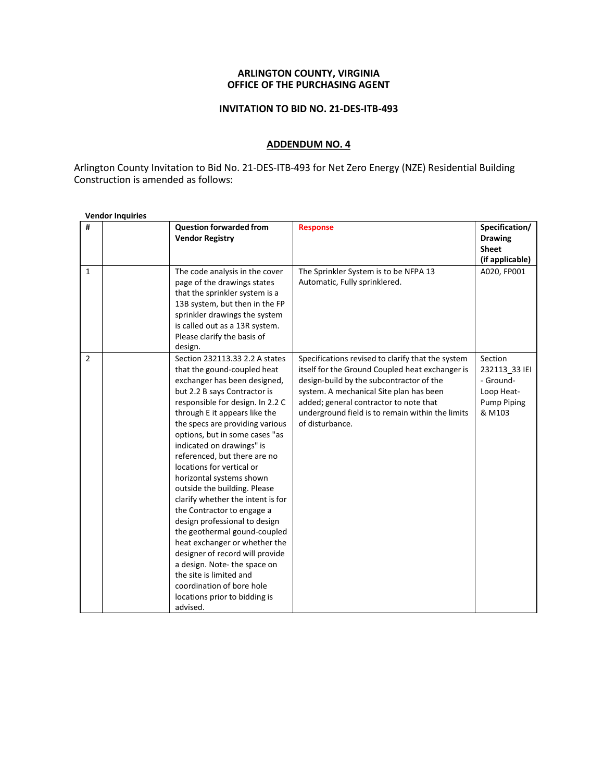## **ARLINGTON COUNTY, VIRGINIA OFFICE OF THE PURCHASING AGENT**

## **INVITATION TO BID NO. 21-DES-ITB-493**

## **ADDENDUM NO. 4**

Arlington County Invitation to Bid No. 21-DES-ITB-493 for Net Zero Energy (NZE) Residential Building Construction is amended as follows:

| #              | <b>Question forwarded from</b><br><b>Vendor Registry</b>                                                                                                                                                                                                                                                                                                                                                                                                                                                                                                                                                                                                                                                                                                                  | <b>Response</b>                                                                                                                                                                                                                                                                                              | Specification/<br><b>Drawing</b><br><b>Sheet</b><br>(if applicable)                 |
|----------------|---------------------------------------------------------------------------------------------------------------------------------------------------------------------------------------------------------------------------------------------------------------------------------------------------------------------------------------------------------------------------------------------------------------------------------------------------------------------------------------------------------------------------------------------------------------------------------------------------------------------------------------------------------------------------------------------------------------------------------------------------------------------------|--------------------------------------------------------------------------------------------------------------------------------------------------------------------------------------------------------------------------------------------------------------------------------------------------------------|-------------------------------------------------------------------------------------|
| $\mathbf{1}$   | The code analysis in the cover<br>page of the drawings states<br>that the sprinkler system is a<br>13B system, but then in the FP<br>sprinkler drawings the system<br>is called out as a 13R system.<br>Please clarify the basis of<br>design.                                                                                                                                                                                                                                                                                                                                                                                                                                                                                                                            | The Sprinkler System is to be NFPA 13<br>Automatic, Fully sprinklered.                                                                                                                                                                                                                                       | A020, FP001                                                                         |
| $\overline{2}$ | Section 232113.33 2.2 A states<br>that the gound-coupled heat<br>exchanger has been designed,<br>but 2.2 B says Contractor is<br>responsible for design. In 2.2 C<br>through E it appears like the<br>the specs are providing various<br>options, but in some cases "as<br>indicated on drawings" is<br>referenced, but there are no<br>locations for vertical or<br>horizontal systems shown<br>outside the building. Please<br>clarify whether the intent is for<br>the Contractor to engage a<br>design professional to design<br>the geothermal gound-coupled<br>heat exchanger or whether the<br>designer of record will provide<br>a design. Note-the space on<br>the site is limited and<br>coordination of bore hole<br>locations prior to bidding is<br>advised. | Specifications revised to clarify that the system<br>itself for the Ground Coupled heat exchanger is<br>design-build by the subcontractor of the<br>system. A mechanical Site plan has been<br>added; general contractor to note that<br>underground field is to remain within the limits<br>of disturbance. | Section<br>232113 33 IEI<br>- Ground-<br>Loop Heat-<br><b>Pump Piping</b><br>& M103 |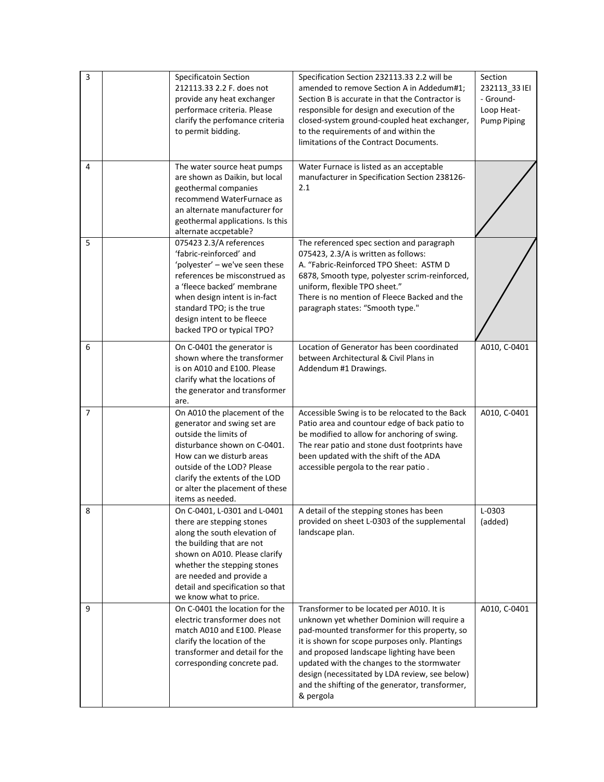| 3              | Specificatoin Section<br>212113.33 2.2 F. does not<br>provide any heat exchanger<br>performace criteria. Please<br>clarify the perfomance criteria<br>to permit bidding.                                                                                                         | Specification Section 232113.33 2.2 will be<br>amended to remove Section A in Addedum#1;<br>Section B is accurate in that the Contractor is<br>responsible for design and execution of the<br>closed-system ground-coupled heat exchanger,<br>to the requirements of and within the<br>limitations of the Contract Documents.                                                                            | Section<br>232113 33 IEI<br>- Ground-<br>Loop Heat-<br><b>Pump Piping</b> |
|----------------|----------------------------------------------------------------------------------------------------------------------------------------------------------------------------------------------------------------------------------------------------------------------------------|----------------------------------------------------------------------------------------------------------------------------------------------------------------------------------------------------------------------------------------------------------------------------------------------------------------------------------------------------------------------------------------------------------|---------------------------------------------------------------------------|
| 4              | The water source heat pumps<br>are shown as Daikin, but local<br>geothermal companies<br>recommend WaterFurnace as<br>an alternate manufacturer for<br>geothermal applications. Is this<br>alternate accpetable?                                                                 | Water Furnace is listed as an acceptable<br>manufacturer in Specification Section 238126-<br>2.1                                                                                                                                                                                                                                                                                                         |                                                                           |
| 5              | 075423 2.3/A references<br>'fabric-reinforced' and<br>'polyester' - we've seen these<br>references be misconstrued as<br>a 'fleece backed' membrane<br>when design intent is in-fact<br>standard TPO; is the true<br>design intent to be fleece<br>backed TPO or typical TPO?    | The referenced spec section and paragraph<br>075423, 2.3/A is written as follows:<br>A. "Fabric-Reinforced TPO Sheet: ASTM D<br>6878, Smooth type, polyester scrim-reinforced,<br>uniform, flexible TPO sheet."<br>There is no mention of Fleece Backed and the<br>paragraph states: "Smooth type."                                                                                                      |                                                                           |
| 6              | On C-0401 the generator is<br>shown where the transformer<br>is on A010 and E100. Please<br>clarify what the locations of<br>the generator and transformer<br>are.                                                                                                               | Location of Generator has been coordinated<br>between Architectural & Civil Plans in<br>Addendum #1 Drawings.                                                                                                                                                                                                                                                                                            | A010, C-0401                                                              |
| $\overline{7}$ | On A010 the placement of the<br>generator and swing set are<br>outside the limits of<br>disturbance shown on C-0401.<br>How can we disturb areas<br>outside of the LOD? Please<br>clarify the extents of the LOD<br>or alter the placement of these<br>items as needed.          | Accessible Swing is to be relocated to the Back<br>Patio area and countour edge of back patio to<br>be modified to allow for anchoring of swing.<br>The rear patio and stone dust footprints have<br>been updated with the shift of the ADA<br>accessible pergola to the rear patio.                                                                                                                     | A010, C-0401                                                              |
| 8              | On C-0401. L-0301 and L-0401<br>there are stepping stones<br>along the south elevation of<br>the building that are not<br>shown on A010. Please clarify<br>whether the stepping stones<br>are needed and provide a<br>detail and specification so that<br>we know what to price. | A detail of the stepping stones has been<br>provided on sheet L-0303 of the supplemental<br>landscape plan.                                                                                                                                                                                                                                                                                              | L-0303<br>(added)                                                         |
| 9              | On C-0401 the location for the<br>electric transformer does not<br>match A010 and E100. Please<br>clarify the location of the<br>transformer and detail for the<br>corresponding concrete pad.                                                                                   | Transformer to be located per A010. It is<br>unknown yet whether Dominion will require a<br>pad-mounted transformer for this property, so<br>it is shown for scope purposes only. Plantings<br>and proposed landscape lighting have been<br>updated with the changes to the stormwater<br>design (necessitated by LDA review, see below)<br>and the shifting of the generator, transformer,<br>& pergola | A010, C-0401                                                              |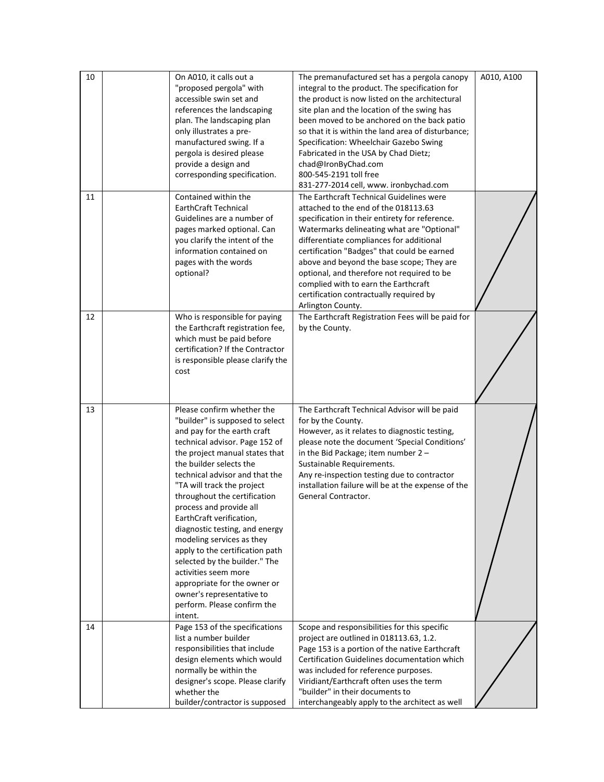| 10 | On A010, it calls out a<br>"proposed pergola" with<br>accessible swin set and<br>references the landscaping<br>plan. The landscaping plan<br>only illustrates a pre-<br>manufactured swing. If a<br>pergola is desired please<br>provide a design and<br>corresponding specification.                                                                                                                                                                                                                                                                                                                                | The premanufactured set has a pergola canopy<br>integral to the product. The specification for<br>the product is now listed on the architectural<br>site plan and the location of the swing has<br>been moved to be anchored on the back patio<br>so that it is within the land area of disturbance;<br>Specification: Wheelchair Gazebo Swing<br>Fabricated in the USA by Chad Dietz;<br>chad@IronByChad.com<br>800-545-2191 toll free<br>831-277-2014 cell, www. ironbychad.com | A010, A100 |
|----|----------------------------------------------------------------------------------------------------------------------------------------------------------------------------------------------------------------------------------------------------------------------------------------------------------------------------------------------------------------------------------------------------------------------------------------------------------------------------------------------------------------------------------------------------------------------------------------------------------------------|-----------------------------------------------------------------------------------------------------------------------------------------------------------------------------------------------------------------------------------------------------------------------------------------------------------------------------------------------------------------------------------------------------------------------------------------------------------------------------------|------------|
| 11 | Contained within the<br><b>EarthCraft Technical</b><br>Guidelines are a number of<br>pages marked optional. Can<br>you clarify the intent of the<br>information contained on<br>pages with the words<br>optional?                                                                                                                                                                                                                                                                                                                                                                                                    | The Earthcraft Technical Guidelines were<br>attached to the end of the 018113.63<br>specification in their entirety for reference.<br>Watermarks delineating what are "Optional"<br>differentiate compliances for additional<br>certification "Badges" that could be earned<br>above and beyond the base scope; They are<br>optional, and therefore not required to be<br>complied with to earn the Earthcraft<br>certification contractually required by<br>Arlington County.    |            |
| 12 | Who is responsible for paying<br>the Earthcraft registration fee,<br>which must be paid before<br>certification? If the Contractor<br>is responsible please clarify the<br>cost                                                                                                                                                                                                                                                                                                                                                                                                                                      | The Earthcraft Registration Fees will be paid for<br>by the County.                                                                                                                                                                                                                                                                                                                                                                                                               |            |
| 13 | Please confirm whether the<br>"builder" is supposed to select<br>and pay for the earth craft<br>technical advisor. Page 152 of<br>the project manual states that<br>the builder selects the<br>technical advisor and that the<br>"TA will track the project<br>throughout the certification<br>process and provide all<br>EarthCraft verification,<br>diagnostic testing, and energy<br>modeling services as they<br>apply to the certification path<br>selected by the builder." The<br>activities seem more<br>appropriate for the owner or<br>owner's representative to<br>perform. Please confirm the<br>intent. | The Earthcraft Technical Advisor will be paid<br>for by the County.<br>However, as it relates to diagnostic testing,<br>please note the document 'Special Conditions'<br>in the Bid Package; item number 2 -<br>Sustainable Requirements.<br>Any re-inspection testing due to contractor<br>installation failure will be at the expense of the<br>General Contractor.                                                                                                             |            |
| 14 | Page 153 of the specifications<br>list a number builder<br>responsibilities that include<br>design elements which would<br>normally be within the<br>designer's scope. Please clarify<br>whether the<br>builder/contractor is supposed                                                                                                                                                                                                                                                                                                                                                                               | Scope and responsibilities for this specific<br>project are outlined in 018113.63, 1.2.<br>Page 153 is a portion of the native Earthcraft<br>Certification Guidelines documentation which<br>was included for reference purposes.<br>Viridiant/Earthcraft often uses the term<br>"builder" in their documents to<br>interchangeably apply to the architect as well                                                                                                                |            |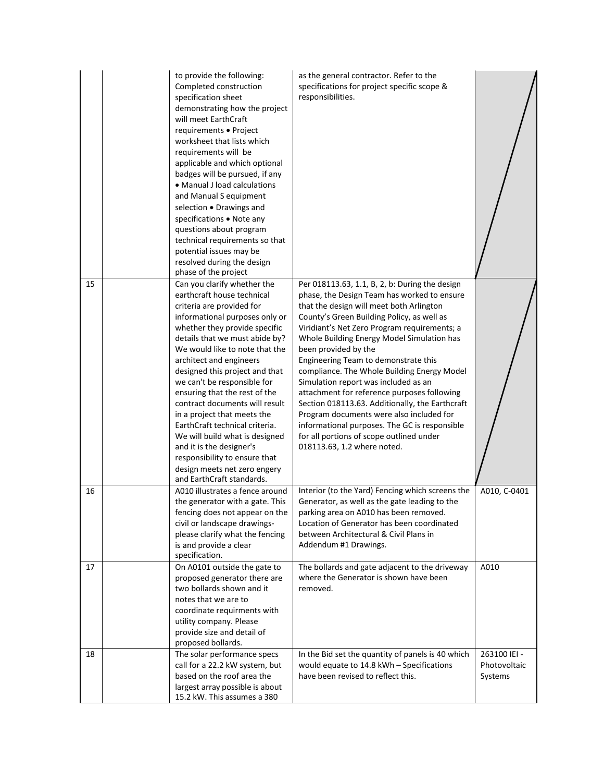|    | to provide the following:<br>Completed construction<br>specification sheet<br>demonstrating how the project<br>will meet EarthCraft<br>requirements · Project<br>worksheet that lists which<br>requirements will be<br>applicable and which optional<br>badges will be pursued, if any<br>• Manual J load calculations<br>and Manual S equipment<br>selection . Drawings and<br>specifications . Note any<br>questions about program<br>technical requirements so that<br>potential issues may be<br>resolved during the design<br>phase of the project                                                                   | as the general contractor. Refer to the<br>specifications for project specific scope &<br>responsibilities.                                                                                                                                                                                                                                                                                                                                                                                                                                                                                                                                                                                                            |                                         |
|----|---------------------------------------------------------------------------------------------------------------------------------------------------------------------------------------------------------------------------------------------------------------------------------------------------------------------------------------------------------------------------------------------------------------------------------------------------------------------------------------------------------------------------------------------------------------------------------------------------------------------------|------------------------------------------------------------------------------------------------------------------------------------------------------------------------------------------------------------------------------------------------------------------------------------------------------------------------------------------------------------------------------------------------------------------------------------------------------------------------------------------------------------------------------------------------------------------------------------------------------------------------------------------------------------------------------------------------------------------------|-----------------------------------------|
| 15 | Can you clarify whether the<br>earthcraft house technical<br>criteria are provided for<br>informational purposes only or<br>whether they provide specific<br>details that we must abide by?<br>We would like to note that the<br>architect and engineers<br>designed this project and that<br>we can't be responsible for<br>ensuring that the rest of the<br>contract documents will result<br>in a project that meets the<br>EarthCraft technical criteria.<br>We will build what is designed<br>and it is the designer's<br>responsibility to ensure that<br>design meets net zero engery<br>and EarthCraft standards. | Per 018113.63, 1.1, B, 2, b: During the design<br>phase, the Design Team has worked to ensure<br>that the design will meet both Arlington<br>County's Green Building Policy, as well as<br>Viridiant's Net Zero Program requirements; a<br>Whole Building Energy Model Simulation has<br>been provided by the<br>Engineering Team to demonstrate this<br>compliance. The Whole Building Energy Model<br>Simulation report was included as an<br>attachment for reference purposes following<br>Section 018113.63. Additionally, the Earthcraft<br>Program documents were also included for<br>informational purposes. The GC is responsible<br>for all portions of scope outlined under<br>018113.63, 1.2 where noted. |                                         |
| 16 | A010 illustrates a fence around<br>the generator with a gate. This<br>fencing does not appear on the<br>civil or landscape drawings-<br>please clarify what the fencing<br>is and provide a clear<br>specification.                                                                                                                                                                                                                                                                                                                                                                                                       | Interior (to the Yard) Fencing which screens the<br>Generator, as well as the gate leading to the<br>parking area on A010 has been removed.<br>Location of Generator has been coordinated<br>between Architectural & Civil Plans in<br>Addendum #1 Drawings.                                                                                                                                                                                                                                                                                                                                                                                                                                                           | A010, C-0401                            |
| 17 | On A0101 outside the gate to<br>proposed generator there are<br>two bollards shown and it<br>notes that we are to<br>coordinate requirments with<br>utility company. Please<br>provide size and detail of<br>proposed bollards.                                                                                                                                                                                                                                                                                                                                                                                           | The bollards and gate adjacent to the driveway<br>where the Generator is shown have been<br>removed.                                                                                                                                                                                                                                                                                                                                                                                                                                                                                                                                                                                                                   | A010                                    |
| 18 | The solar performance specs<br>call for a 22.2 kW system, but<br>based on the roof area the<br>largest array possible is about<br>15.2 kW. This assumes a 380                                                                                                                                                                                                                                                                                                                                                                                                                                                             | In the Bid set the quantity of panels is 40 which<br>would equate to 14.8 kWh - Specifications<br>have been revised to reflect this.                                                                                                                                                                                                                                                                                                                                                                                                                                                                                                                                                                                   | 263100 IEI -<br>Photovoltaic<br>Systems |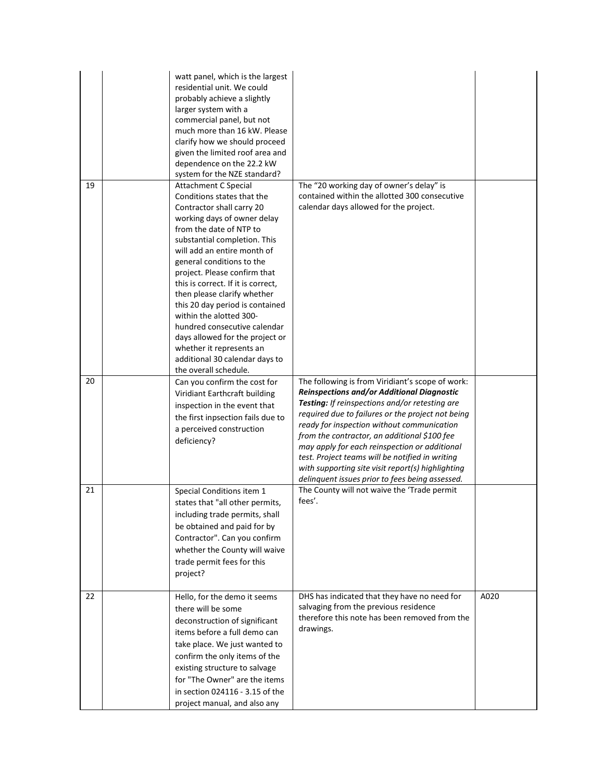|    | watt panel, which is the largest<br>residential unit. We could<br>probably achieve a slightly<br>larger system with a<br>commercial panel, but not<br>much more than 16 kW. Please<br>clarify how we should proceed<br>given the limited roof area and<br>dependence on the 22.2 kW<br>system for the NZE standard?                                                                                                                                                                                                                                                       |                                                                                                                                                                                                                                                                                                                                                                                                                                                                                                                 |      |
|----|---------------------------------------------------------------------------------------------------------------------------------------------------------------------------------------------------------------------------------------------------------------------------------------------------------------------------------------------------------------------------------------------------------------------------------------------------------------------------------------------------------------------------------------------------------------------------|-----------------------------------------------------------------------------------------------------------------------------------------------------------------------------------------------------------------------------------------------------------------------------------------------------------------------------------------------------------------------------------------------------------------------------------------------------------------------------------------------------------------|------|
| 19 | <b>Attachment C Special</b><br>Conditions states that the<br>Contractor shall carry 20<br>working days of owner delay<br>from the date of NTP to<br>substantial completion. This<br>will add an entire month of<br>general conditions to the<br>project. Please confirm that<br>this is correct. If it is correct,<br>then please clarify whether<br>this 20 day period is contained<br>within the alotted 300-<br>hundred consecutive calendar<br>days allowed for the project or<br>whether it represents an<br>additional 30 calendar days to<br>the overall schedule. | The "20 working day of owner's delay" is<br>contained within the allotted 300 consecutive<br>calendar days allowed for the project.                                                                                                                                                                                                                                                                                                                                                                             |      |
| 20 | Can you confirm the cost for<br>Viridiant Earthcraft building<br>inspection in the event that<br>the first inpsection fails due to<br>a perceived construction<br>deficiency?                                                                                                                                                                                                                                                                                                                                                                                             | The following is from Viridiant's scope of work:<br>Reinspections and/or Additional Diagnostic<br>Testing: If reinspections and/or retesting are<br>required due to failures or the project not being<br>ready for inspection without communication<br>from the contractor, an additional \$100 fee<br>may apply for each reinspection or additional<br>test. Project teams will be notified in writing<br>with supporting site visit report(s) highlighting<br>delinquent issues prior to fees being assessed. |      |
| 21 | Special Conditions item 1<br>states that "all other permits,<br>including trade permits, shall<br>be obtained and paid for by<br>Contractor". Can you confirm<br>whether the County will waive<br>trade permit fees for this<br>project?                                                                                                                                                                                                                                                                                                                                  | The County will not waive the 'Trade permit<br>fees'.                                                                                                                                                                                                                                                                                                                                                                                                                                                           |      |
| 22 | Hello, for the demo it seems<br>there will be some<br>deconstruction of significant<br>items before a full demo can<br>take place. We just wanted to<br>confirm the only items of the<br>existing structure to salvage<br>for "The Owner" are the items<br>in section 024116 - 3.15 of the<br>project manual, and also any                                                                                                                                                                                                                                                | DHS has indicated that they have no need for<br>salvaging from the previous residence<br>therefore this note has been removed from the<br>drawings.                                                                                                                                                                                                                                                                                                                                                             | A020 |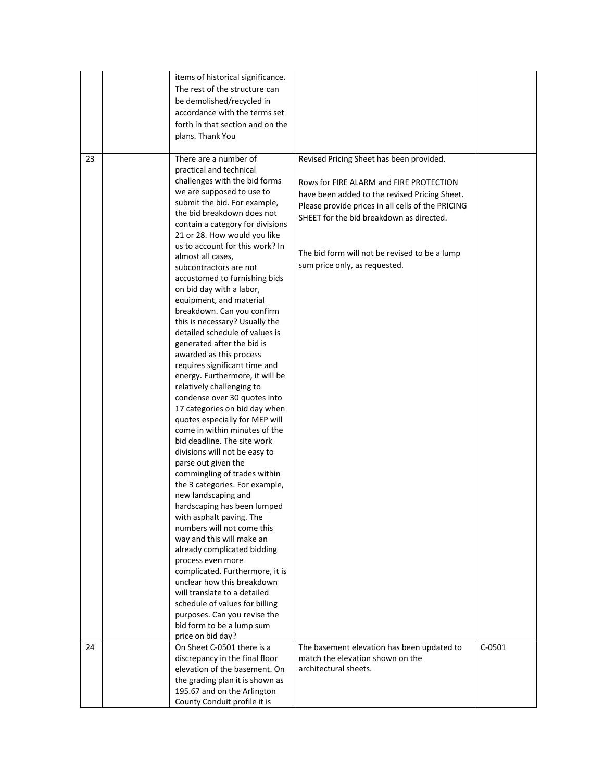|    | items of historical significance.<br>The rest of the structure can<br>be demolished/recycled in<br>accordance with the terms set<br>forth in that section and on the<br>plans. Thank You                                                                                                                                                                                                                                                                                                                                                                                                                                                                                                                                                                                                                                                                                                                                                                                                                                                                                                                                                                                                                                                                                                                                                                                             |                                                                                                                                                                                                                                                                                                                         |          |
|----|--------------------------------------------------------------------------------------------------------------------------------------------------------------------------------------------------------------------------------------------------------------------------------------------------------------------------------------------------------------------------------------------------------------------------------------------------------------------------------------------------------------------------------------------------------------------------------------------------------------------------------------------------------------------------------------------------------------------------------------------------------------------------------------------------------------------------------------------------------------------------------------------------------------------------------------------------------------------------------------------------------------------------------------------------------------------------------------------------------------------------------------------------------------------------------------------------------------------------------------------------------------------------------------------------------------------------------------------------------------------------------------|-------------------------------------------------------------------------------------------------------------------------------------------------------------------------------------------------------------------------------------------------------------------------------------------------------------------------|----------|
| 23 | There are a number of<br>practical and technical<br>challenges with the bid forms<br>we are supposed to use to<br>submit the bid. For example,<br>the bid breakdown does not<br>contain a category for divisions<br>21 or 28. How would you like<br>us to account for this work? In<br>almost all cases,<br>subcontractors are not<br>accustomed to furnishing bids<br>on bid day with a labor,<br>equipment, and material<br>breakdown. Can you confirm<br>this is necessary? Usually the<br>detailed schedule of values is<br>generated after the bid is<br>awarded as this process<br>requires significant time and<br>energy. Furthermore, it will be<br>relatively challenging to<br>condense over 30 quotes into<br>17 categories on bid day when<br>quotes especially for MEP will<br>come in within minutes of the<br>bid deadline. The site work<br>divisions will not be easy to<br>parse out given the<br>commingling of trades within<br>the 3 categories. For example,<br>new landscaping and<br>hardscaping has been lumped<br>with asphalt paving. The<br>numbers will not come this<br>way and this will make an<br>already complicated bidding<br>process even more<br>complicated. Furthermore, it is<br>unclear how this breakdown<br>will translate to a detailed<br>schedule of values for billing<br>purposes. Can you revise the<br>bid form to be a lump sum | Revised Pricing Sheet has been provided.<br>Rows for FIRE ALARM and FIRE PROTECTION<br>have been added to the revised Pricing Sheet.<br>Please provide prices in all cells of the PRICING<br>SHEET for the bid breakdown as directed.<br>The bid form will not be revised to be a lump<br>sum price only, as requested. |          |
| 24 | price on bid day?<br>On Sheet C-0501 there is a<br>discrepancy in the final floor<br>elevation of the basement. On                                                                                                                                                                                                                                                                                                                                                                                                                                                                                                                                                                                                                                                                                                                                                                                                                                                                                                                                                                                                                                                                                                                                                                                                                                                                   | The basement elevation has been updated to<br>match the elevation shown on the<br>architectural sheets.                                                                                                                                                                                                                 | $C-0501$ |
|    | the grading plan it is shown as<br>195.67 and on the Arlington<br>County Conduit profile it is                                                                                                                                                                                                                                                                                                                                                                                                                                                                                                                                                                                                                                                                                                                                                                                                                                                                                                                                                                                                                                                                                                                                                                                                                                                                                       |                                                                                                                                                                                                                                                                                                                         |          |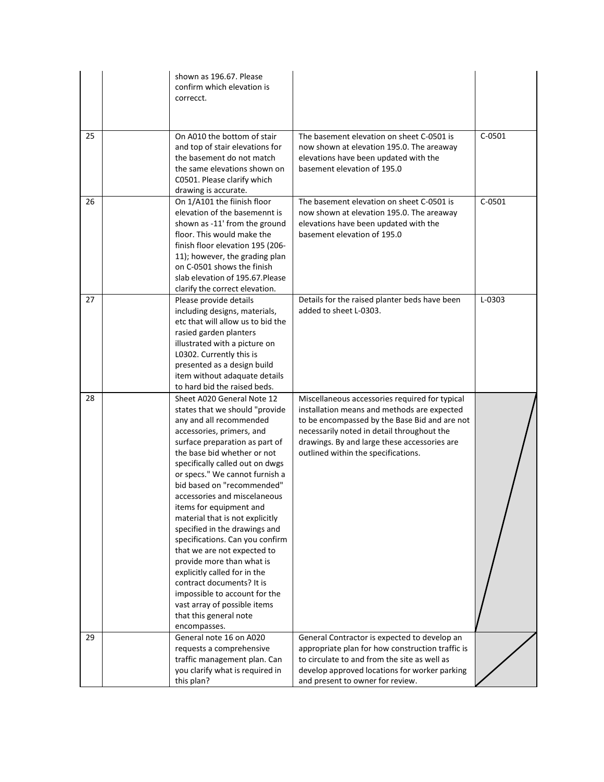|    | shown as 196.67. Please<br>confirm which elevation is<br>correcct.                                                                                                                                                                                                                                                                                                                                                                                                                                                                                                                                                                                                                             |                                                                                                                                                                                                                                                                                     |            |
|----|------------------------------------------------------------------------------------------------------------------------------------------------------------------------------------------------------------------------------------------------------------------------------------------------------------------------------------------------------------------------------------------------------------------------------------------------------------------------------------------------------------------------------------------------------------------------------------------------------------------------------------------------------------------------------------------------|-------------------------------------------------------------------------------------------------------------------------------------------------------------------------------------------------------------------------------------------------------------------------------------|------------|
| 25 | On A010 the bottom of stair<br>and top of stair elevations for<br>the basement do not match<br>the same elevations shown on<br>C0501. Please clarify which<br>drawing is accurate.                                                                                                                                                                                                                                                                                                                                                                                                                                                                                                             | The basement elevation on sheet C-0501 is<br>now shown at elevation 195.0. The areaway<br>elevations have been updated with the<br>basement elevation of 195.0                                                                                                                      | $C-0501$   |
| 26 | On 1/A101 the fiinish floor<br>elevation of the basemennt is<br>shown as -11' from the ground<br>floor. This would make the<br>finish floor elevation 195 (206-<br>11); however, the grading plan<br>on C-0501 shows the finish<br>slab elevation of 195.67. Please<br>clarify the correct elevation.                                                                                                                                                                                                                                                                                                                                                                                          | The basement elevation on sheet C-0501 is<br>now shown at elevation 195.0. The areaway<br>elevations have been updated with the<br>basement elevation of 195.0                                                                                                                      | $C-0501$   |
| 27 | Please provide details<br>including designs, materials,<br>etc that will allow us to bid the<br>rasied garden planters<br>illustrated with a picture on<br>L0302. Currently this is<br>presented as a design build<br>item without adaquate details<br>to hard bid the raised beds.                                                                                                                                                                                                                                                                                                                                                                                                            | Details for the raised planter beds have been<br>added to sheet L-0303.                                                                                                                                                                                                             | $L - 0303$ |
| 28 | Sheet A020 General Note 12<br>states that we should "provide<br>any and all recommended<br>accessories, primers, and<br>surface preparation as part of<br>the base bid whether or not<br>specifically called out on dwgs<br>or specs." We cannot furnish a<br>bid based on "recommended"<br>accessories and miscelaneous<br>items for equipment and<br>material that is not explicitly<br>specified in the drawings and<br>specifications. Can you confirm<br>that we are not expected to<br>provide more than what is<br>explicitly called for in the<br>contract documents? It is<br>impossible to account for the<br>vast array of possible items<br>that this general note<br>encompasses. | Miscellaneous accessories required for typical<br>installation means and methods are expected<br>to be encompassed by the Base Bid and are not<br>necessarily noted in detail throughout the<br>drawings. By and large these accessories are<br>outlined within the specifications. |            |
| 29 | General note 16 on A020<br>requests a comprehensive<br>traffic management plan. Can<br>you clarify what is required in<br>this plan?                                                                                                                                                                                                                                                                                                                                                                                                                                                                                                                                                           | General Contractor is expected to develop an<br>appropriate plan for how construction traffic is<br>to circulate to and from the site as well as<br>develop approved locations for worker parking<br>and present to owner for review.                                               |            |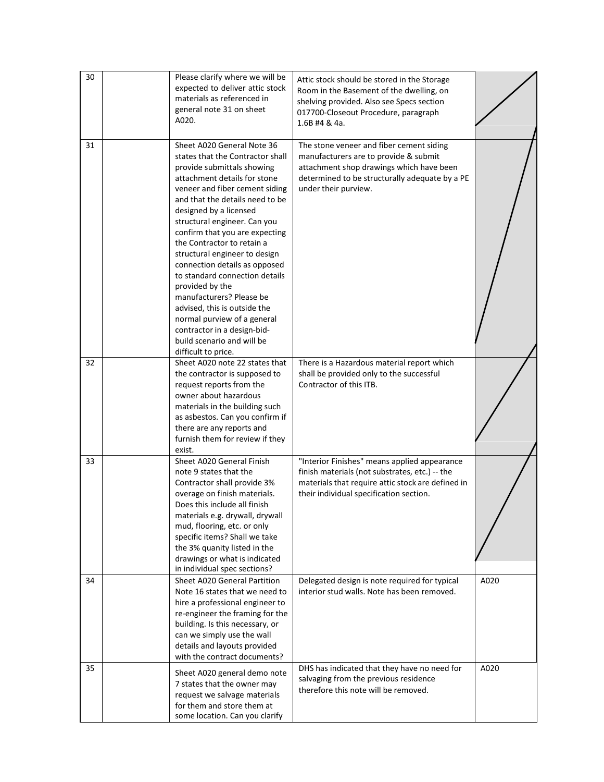| 30 | Please clarify where we will be<br>expected to deliver attic stock<br>materials as referenced in<br>general note 31 on sheet<br>A020.                                                                                                                                                                                                                                                                                                                                                                                                                                                                                             | Attic stock should be stored in the Storage<br>Room in the Basement of the dwelling, on<br>shelving provided. Also see Specs section<br>017700-Closeout Procedure, paragraph<br>1.6B #4 & 4a.           |      |
|----|-----------------------------------------------------------------------------------------------------------------------------------------------------------------------------------------------------------------------------------------------------------------------------------------------------------------------------------------------------------------------------------------------------------------------------------------------------------------------------------------------------------------------------------------------------------------------------------------------------------------------------------|---------------------------------------------------------------------------------------------------------------------------------------------------------------------------------------------------------|------|
| 31 | Sheet A020 General Note 36<br>states that the Contractor shall<br>provide submittals showing<br>attachment details for stone<br>veneer and fiber cement siding<br>and that the details need to be<br>designed by a licensed<br>structural engineer. Can you<br>confirm that you are expecting<br>the Contractor to retain a<br>structural engineer to design<br>connection details as opposed<br>to standard connection details<br>provided by the<br>manufacturers? Please be<br>advised, this is outside the<br>normal purview of a general<br>contractor in a design-bid-<br>build scenario and will be<br>difficult to price. | The stone veneer and fiber cement siding<br>manufacturers are to provide & submit<br>attachment shop drawings which have been<br>determined to be structurally adequate by a PE<br>under their purview. |      |
| 32 | Sheet A020 note 22 states that<br>the contractor is supposed to<br>request reports from the<br>owner about hazardous<br>materials in the building such<br>as asbestos. Can you confirm if<br>there are any reports and<br>furnish them for review if they<br>exist.                                                                                                                                                                                                                                                                                                                                                               | There is a Hazardous material report which<br>shall be provided only to the successful<br>Contractor of this ITB.                                                                                       |      |
| 33 | Sheet A020 General Finish<br>note 9 states that the<br>Contractor shall provide 3%<br>overage on finish materials.<br>Does this include all finish<br>materials e.g. drywall, drywall<br>mud, flooring, etc. or only<br>specific items? Shall we take<br>the 3% quanity listed in the<br>drawings or what is indicated<br>in individual spec sections?                                                                                                                                                                                                                                                                            | "Interior Finishes" means applied appearance<br>finish materials (not substrates, etc.) -- the<br>materials that require attic stock are defined in<br>their individual specification section.          |      |
| 34 | Sheet A020 General Partition<br>Note 16 states that we need to<br>hire a professional engineer to<br>re-engineer the framing for the<br>building. Is this necessary, or<br>can we simply use the wall<br>details and layouts provided<br>with the contract documents?                                                                                                                                                                                                                                                                                                                                                             | Delegated design is note required for typical<br>interior stud walls. Note has been removed.                                                                                                            | A020 |
| 35 | Sheet A020 general demo note<br>7 states that the owner may<br>request we salvage materials<br>for them and store them at<br>some location. Can you clarify                                                                                                                                                                                                                                                                                                                                                                                                                                                                       | DHS has indicated that they have no need for<br>salvaging from the previous residence<br>therefore this note will be removed.                                                                           | A020 |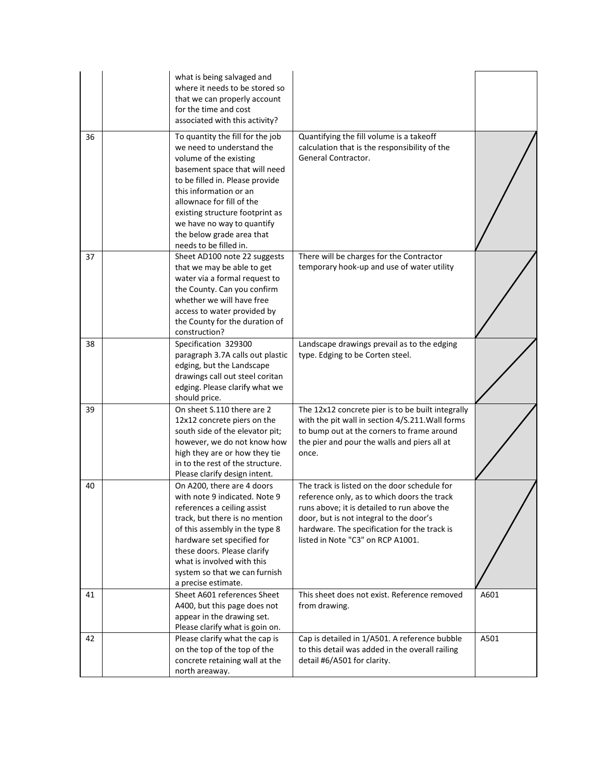|    | what is being salvaged and<br>where it needs to be stored so<br>that we can properly account<br>for the time and cost<br>associated with this activity?                                                                                                                                                                                    |                                                                                                                                                                                                                                                                            |      |
|----|--------------------------------------------------------------------------------------------------------------------------------------------------------------------------------------------------------------------------------------------------------------------------------------------------------------------------------------------|----------------------------------------------------------------------------------------------------------------------------------------------------------------------------------------------------------------------------------------------------------------------------|------|
| 36 | To quantity the fill for the job<br>we need to understand the<br>volume of the existing<br>basement space that will need<br>to be filled in. Please provide<br>this information or an<br>allownace for fill of the<br>existing structure footprint as<br>we have no way to quantify<br>the below grade area that<br>needs to be filled in. | Quantifying the fill volume is a takeoff<br>calculation that is the responsibility of the<br>General Contractor.                                                                                                                                                           |      |
| 37 | Sheet AD100 note 22 suggests<br>that we may be able to get<br>water via a formal request to<br>the County. Can you confirm<br>whether we will have free<br>access to water provided by<br>the County for the duration of<br>construction?                                                                                                  | There will be charges for the Contractor<br>temporary hook-up and use of water utility                                                                                                                                                                                     |      |
| 38 | Specification 329300<br>paragraph 3.7A calls out plastic<br>edging, but the Landscape<br>drawings call out steel coritan<br>edging. Please clarify what we<br>should price.                                                                                                                                                                | Landscape drawings prevail as to the edging<br>type. Edging to be Corten steel.                                                                                                                                                                                            |      |
| 39 | On sheet S.110 there are 2<br>12x12 concrete piers on the<br>south side of the elevator pit;<br>however, we do not know how<br>high they are or how they tie<br>in to the rest of the structure.<br>Please clarify design intent.                                                                                                          | The 12x12 concrete pier is to be built integrally<br>with the pit wall in section 4/S.211. Wall forms<br>to bump out at the corners to frame around<br>the pier and pour the walls and piers all at<br>once.                                                               |      |
| 40 | On A200, there are 4 doors<br>with note 9 indicated. Note 9<br>references a ceiling assist<br>track, but there is no mention<br>of this assembly in the type 8<br>hardware set specified for<br>these doors. Please clarify<br>what is involved with this<br>system so that we can furnish<br>a precise estimate.                          | The track is listed on the door schedule for<br>reference only, as to which doors the track<br>runs above; it is detailed to run above the<br>door, but is not integral to the door's<br>hardware. The specification for the track is<br>listed in Note "C3" on RCP A1001. |      |
| 41 | Sheet A601 references Sheet<br>A400, but this page does not<br>appear in the drawing set.<br>Please clarify what is goin on.                                                                                                                                                                                                               | This sheet does not exist. Reference removed<br>from drawing.                                                                                                                                                                                                              | A601 |
| 42 | Please clarify what the cap is<br>on the top of the top of the<br>concrete retaining wall at the<br>north areaway.                                                                                                                                                                                                                         | Cap is detailed in 1/A501. A reference bubble<br>to this detail was added in the overall railing<br>detail #6/A501 for clarity.                                                                                                                                            | A501 |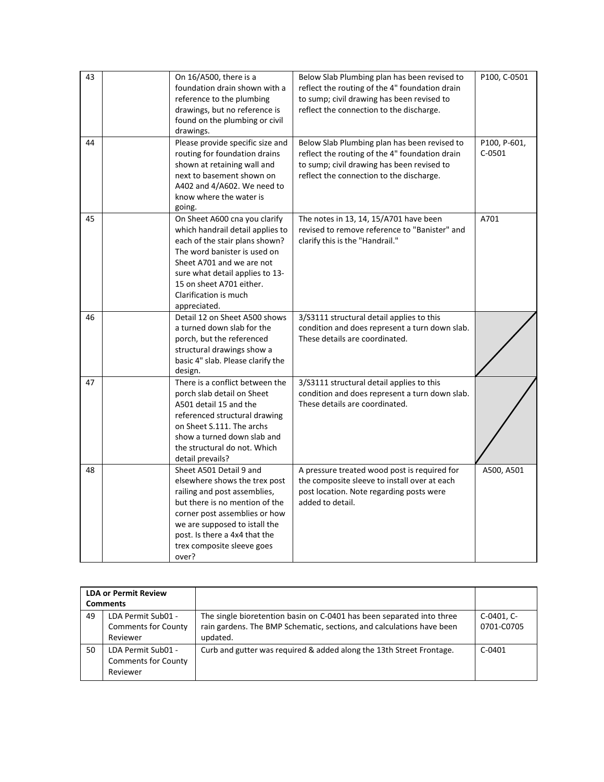| 43 | On 16/A500, there is a                                         | Below Slab Plumbing plan has been revised to   | P100, C-0501 |
|----|----------------------------------------------------------------|------------------------------------------------|--------------|
|    | foundation drain shown with a                                  | reflect the routing of the 4" foundation drain |              |
|    | reference to the plumbing                                      | to sump; civil drawing has been revised to     |              |
|    | drawings, but no reference is                                  | reflect the connection to the discharge.       |              |
|    | found on the plumbing or civil                                 |                                                |              |
|    | drawings.                                                      |                                                |              |
| 44 | Please provide specific size and                               | Below Slab Plumbing plan has been revised to   | P100, P-601, |
|    | routing for foundation drains                                  | reflect the routing of the 4" foundation drain | $C-0501$     |
|    | shown at retaining wall and                                    | to sump; civil drawing has been revised to     |              |
|    | next to basement shown on                                      | reflect the connection to the discharge.       |              |
|    | A402 and 4/A602. We need to                                    |                                                |              |
|    | know where the water is                                        |                                                |              |
|    | going.                                                         |                                                |              |
| 45 | On Sheet A600 cna you clarify                                  | The notes in 13, 14, 15/A701 have been         | A701         |
|    | which handrail detail applies to                               | revised to remove reference to "Banister" and  |              |
|    | each of the stair plans shown?<br>The word banister is used on | clarify this is the "Handrail."                |              |
|    | Sheet A701 and we are not                                      |                                                |              |
|    | sure what detail applies to 13-                                |                                                |              |
|    | 15 on sheet A701 either.                                       |                                                |              |
|    | Clarification is much                                          |                                                |              |
|    | appreciated.                                                   |                                                |              |
| 46 | Detail 12 on Sheet A500 shows                                  | 3/S3111 structural detail applies to this      |              |
|    | a turned down slab for the                                     | condition and does represent a turn down slab. |              |
|    | porch, but the referenced                                      | These details are coordinated.                 |              |
|    | structural drawings show a                                     |                                                |              |
|    | basic 4" slab. Please clarify the                              |                                                |              |
|    | design.                                                        |                                                |              |
| 47 | There is a conflict between the                                | 3/S3111 structural detail applies to this      |              |
|    | porch slab detail on Sheet                                     | condition and does represent a turn down slab. |              |
|    | A501 detail 15 and the                                         | These details are coordinated.                 |              |
|    | referenced structural drawing                                  |                                                |              |
|    | on Sheet S.111. The archs<br>show a turned down slab and       |                                                |              |
|    | the structural do not. Which                                   |                                                |              |
|    | detail prevails?                                               |                                                |              |
| 48 | Sheet A501 Detail 9 and                                        | A pressure treated wood post is required for   | A500, A501   |
|    | elsewhere shows the trex post                                  | the composite sleeve to install over at each   |              |
|    | railing and post assemblies,                                   | post location. Note regarding posts were       |              |
|    | but there is no mention of the                                 | added to detail.                               |              |
|    | corner post assemblies or how                                  |                                                |              |
|    | we are supposed to istall the                                  |                                                |              |
|    | post. Is there a 4x4 that the                                  |                                                |              |
|    | trex composite sleeve goes                                     |                                                |              |
|    | over?                                                          |                                                |              |

| <b>LDA or Permit Review</b><br><b>Comments</b>                     |                                                              |                                                                                                                                                            |                          |
|--------------------------------------------------------------------|--------------------------------------------------------------|------------------------------------------------------------------------------------------------------------------------------------------------------------|--------------------------|
| 49<br>LDA Permit Sub01 -<br><b>Comments for County</b><br>Reviewer |                                                              | The single bioretention basin on C-0401 has been separated into three<br>rain gardens. The BMP Schematic, sections, and calculations have been<br>updated. | C-0401, C-<br>0701-C0705 |
| 50                                                                 | LDA Permit Sub01 -<br><b>Comments for County</b><br>Reviewer | Curb and gutter was required & added along the 13th Street Frontage.                                                                                       | $C-0401$                 |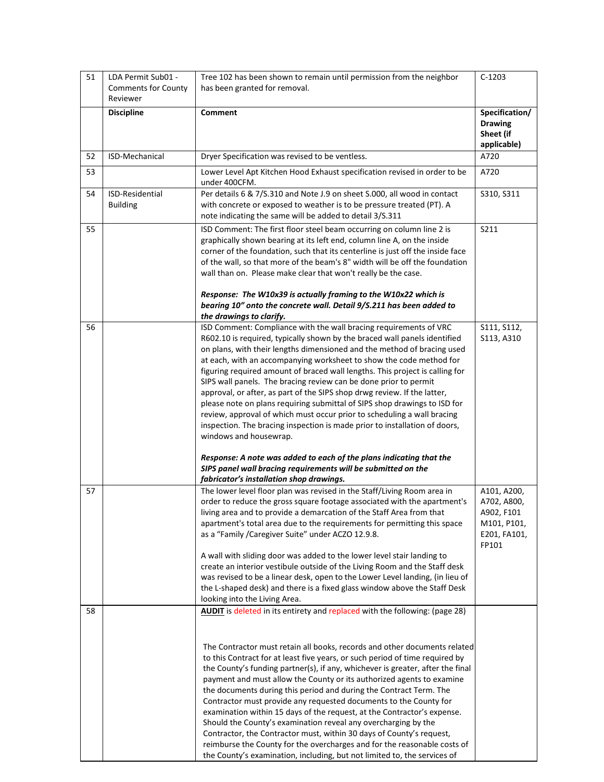| 51 | LDA Permit Sub01 -                     | Tree 102 has been shown to remain until permission from the neighbor                                                                                      | $C-1203$              |
|----|----------------------------------------|-----------------------------------------------------------------------------------------------------------------------------------------------------------|-----------------------|
|    | <b>Comments for County</b><br>Reviewer | has been granted for removal.                                                                                                                             |                       |
|    | <b>Discipline</b>                      | <b>Comment</b>                                                                                                                                            | Specification/        |
|    |                                        |                                                                                                                                                           | <b>Drawing</b>        |
|    |                                        |                                                                                                                                                           | Sheet (if             |
|    |                                        |                                                                                                                                                           | applicable)           |
| 52 | ISD-Mechanical                         | Dryer Specification was revised to be ventless.                                                                                                           | A720                  |
| 53 |                                        | Lower Level Apt Kitchen Hood Exhaust specification revised in order to be<br>under 400CFM.                                                                | A720                  |
| 54 | ISD-Residential                        | Per details 6 & 7/S.310 and Note J.9 on sheet S.000, all wood in contact                                                                                  | S310, S311            |
|    | <b>Building</b>                        | with concrete or exposed to weather is to be pressure treated (PT). A<br>note indicating the same will be added to detail 3/S.311                         |                       |
| 55 |                                        | ISD Comment: The first floor steel beam occurring on column line 2 is                                                                                     | S211                  |
|    |                                        | graphically shown bearing at its left end, column line A, on the inside                                                                                   |                       |
|    |                                        | corner of the foundation, such that its centerline is just off the inside face                                                                            |                       |
|    |                                        | of the wall, so that more of the beam's 8" width will be off the foundation<br>wall than on. Please make clear that won't really be the case.             |                       |
|    |                                        |                                                                                                                                                           |                       |
|    |                                        | Response: The W10x39 is actually framing to the W10x22 which is                                                                                           |                       |
|    |                                        | bearing 10" onto the concrete wall. Detail 9/S.211 has been added to                                                                                      |                       |
|    |                                        | the drawings to clarify.                                                                                                                                  |                       |
| 56 |                                        | ISD Comment: Compliance with the wall bracing requirements of VRC                                                                                         | S111, S112,           |
|    |                                        | R602.10 is required, typically shown by the braced wall panels identified<br>on plans, with their lengths dimensioned and the method of bracing used      | S113, A310            |
|    |                                        | at each, with an accompanying worksheet to show the code method for                                                                                       |                       |
|    |                                        | figuring required amount of braced wall lengths. This project is calling for                                                                              |                       |
|    |                                        | SIPS wall panels. The bracing review can be done prior to permit                                                                                          |                       |
|    |                                        | approval, or after, as part of the SIPS shop drwg review. If the latter,                                                                                  |                       |
|    |                                        | please note on plans requiring submittal of SIPS shop drawings to ISD for                                                                                 |                       |
|    |                                        | review, approval of which must occur prior to scheduling a wall bracing                                                                                   |                       |
|    |                                        | inspection. The bracing inspection is made prior to installation of doors,                                                                                |                       |
|    |                                        | windows and housewrap.                                                                                                                                    |                       |
|    |                                        | Response: A note was added to each of the plans indicating that the                                                                                       |                       |
|    |                                        | SIPS panel wall bracing requirements will be submitted on the<br>fabricator's installation shop drawings.                                                 |                       |
| 57 |                                        | The lower level floor plan was revised in the Staff/Living Room area in                                                                                   | A101, A200,           |
|    |                                        | order to reduce the gross square footage associated with the apartment's                                                                                  | A702, A800,           |
|    |                                        | living area and to provide a demarcation of the Staff Area from that                                                                                      | A902, F101            |
|    |                                        | apartment's total area due to the requirements for permitting this space                                                                                  | M101, P101,           |
|    |                                        | as a "Family / Caregiver Suite" under ACZO 12.9.8.                                                                                                        | E201, FA101,<br>FP101 |
|    |                                        | A wall with sliding door was added to the lower level stair landing to                                                                                    |                       |
|    |                                        | create an interior vestibule outside of the Living Room and the Staff desk                                                                                |                       |
|    |                                        | was revised to be a linear desk, open to the Lower Level landing, (in lieu of                                                                             |                       |
|    |                                        | the L-shaped desk) and there is a fixed glass window above the Staff Desk                                                                                 |                       |
|    |                                        | looking into the Living Area.                                                                                                                             |                       |
| 58 |                                        | AUDIT is deleted in its entirety and replaced with the following: (page 28)                                                                               |                       |
|    |                                        |                                                                                                                                                           |                       |
|    |                                        |                                                                                                                                                           |                       |
|    |                                        | The Contractor must retain all books, records and other documents related<br>to this Contract for at least five years, or such period of time required by |                       |
|    |                                        | the County's funding partner(s), if any, whichever is greater, after the final                                                                            |                       |
|    |                                        | payment and must allow the County or its authorized agents to examine                                                                                     |                       |
|    |                                        | the documents during this period and during the Contract Term. The                                                                                        |                       |
|    |                                        | Contractor must provide any requested documents to the County for                                                                                         |                       |
|    |                                        | examination within 15 days of the request, at the Contractor's expense.                                                                                   |                       |
|    |                                        | Should the County's examination reveal any overcharging by the                                                                                            |                       |
|    |                                        | Contractor, the Contractor must, within 30 days of County's request,                                                                                      |                       |
|    |                                        | reimburse the County for the overcharges and for the reasonable costs of                                                                                  |                       |
|    |                                        | the County's examination, including, but not limited to, the services of                                                                                  |                       |